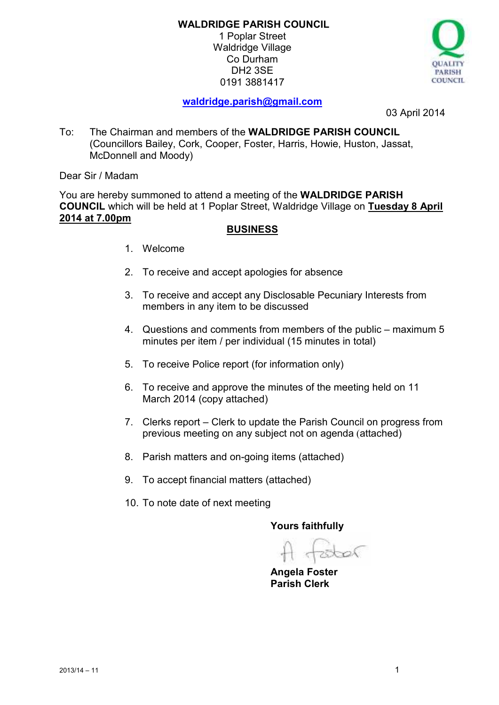1 Poplar Street Waldridge Village Co Durham DH2 3SE 0191 3881417



# **waldridge.parish@gmail.com**

03 April 2014

To: The Chairman and members of the **WALDRIDGE PARISH COUNCIL**  (Councillors Bailey, Cork, Cooper, Foster, Harris, Howie, Huston, Jassat, McDonnell and Moody)

Dear Sir / Madam

You are hereby summoned to attend a meeting of the **WALDRIDGE PARISH COUNCIL** which will be held at 1 Poplar Street, Waldridge Village on **Tuesday 8 April 2014 at 7.00pm** 

# **BUSINESS**

- 1. Welcome
- 2. To receive and accept apologies for absence
- 3. To receive and accept any Disclosable Pecuniary Interests from members in any item to be discussed
- 4. Questions and comments from members of the public maximum 5 minutes per item / per individual (15 minutes in total)
- 5. To receive Police report (for information only)
- 6. To receive and approve the minutes of the meeting held on 11 March 2014 (copy attached)
- 7. Clerks report Clerk to update the Parish Council on progress from previous meeting on any subject not on agenda (attached)
- 8. Parish matters and on-going items (attached)
- 9. To accept financial matters (attached)
- 10. To note date of next meeting

**Yours faithfully** 

bal

**Angela Foster Parish Clerk**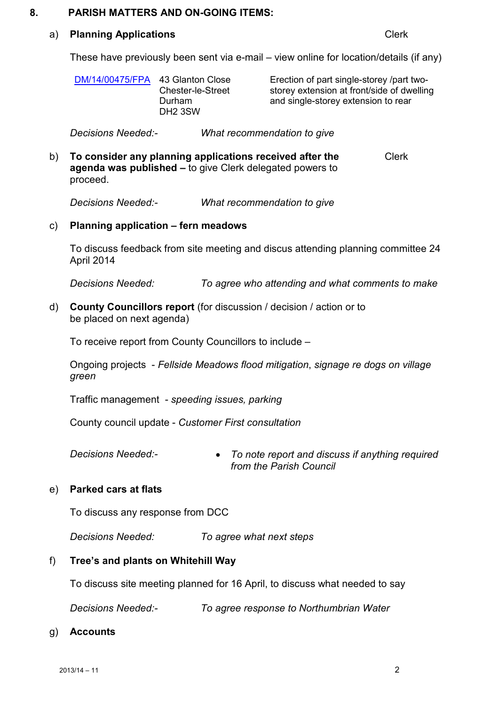#### **8. PARISH MATTERS AND ON-GOING ITEMS:**

#### a) **Planning Applications** Clerk

These have previously been sent via e-mail – view online for location/details (if any)

| and single-storey extension to rear<br>Durham<br>DH <sub>2</sub> 3SW |  | DM/14/00475/FPA 43 Glanton Close<br><b>Chester-le-Street</b> | Erection of part single-storey /part two-<br>storey extension at front/side of dwelling |
|----------------------------------------------------------------------|--|--------------------------------------------------------------|-----------------------------------------------------------------------------------------|
|----------------------------------------------------------------------|--|--------------------------------------------------------------|-----------------------------------------------------------------------------------------|

*Decisions Needed:- What recommendation to give* 

b) **To consider any planning applications received after the agenda was published –** to give Clerk delegated powers to proceed. Clerk

*Decisions Needed:- What recommendation to give* 

c) **Planning application – fern meadows** 

 To discuss feedback from site meeting and discus attending planning committee 24 April 2014

*Decisions Needed: To agree who attending and what comments to make* 

d) **County Councillors report** (for discussion / decision / action or to be placed on next agenda)

To receive report from County Councillors to include –

Ongoing projects - *Fellside Meadows flood mitigation*, *signage re dogs on village green*

Traffic management - *speeding issues, parking*

County council update - *Customer First consultation*

*Decisions Needed:-* • *To note report and discuss if anything required from the Parish Council* 

## e) **Parked cars at flats**

To discuss any response from DCC

*Decisions Needed: To agree what next steps* 

## f) **Tree's and plants on Whitehill Way**

To discuss site meeting planned for 16 April, to discuss what needed to say

*Decisions Needed:- To agree response to Northumbrian Water* 

#### g) **Accounts**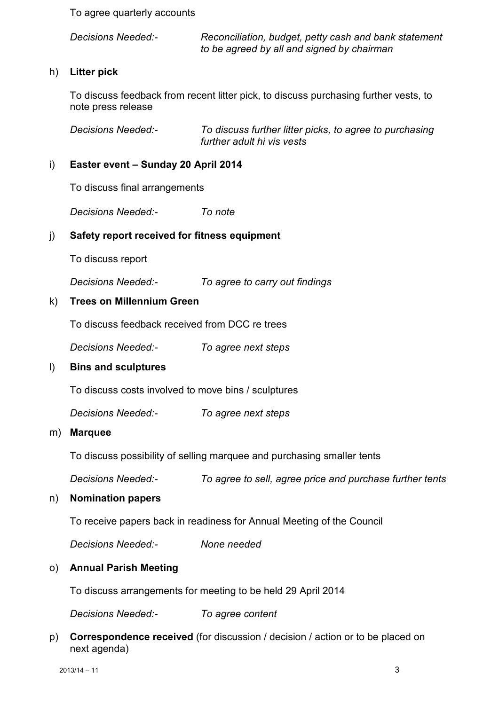To agree quarterly accounts

*Decisions Needed:- Reconciliation, budget, petty cash and bank statement to be agreed by all and signed by chairman* 

## h) **Litter pick**

 To discuss feedback from recent litter pick, to discuss purchasing further vests, to note press release

*Decisions Needed:- To discuss further litter picks, to agree to purchasing further adult hi vis vests* 

## i) **Easter event – Sunday 20 April 2014**

To discuss final arrangements

*Decisions Needed:- To note* 

## j) **Safety report received for fitness equipment**

To discuss report

 *Decisions Needed:- To agree to carry out findings* 

## k) **Trees on Millennium Green**

To discuss feedback received from DCC re trees

 *Decisions Needed:- To agree next steps* 

## l) **Bins and sculptures**

To discuss costs involved to move bins / sculptures

 *Decisions Needed:- To agree next steps* 

### m) **Marquee**

To discuss possibility of selling marquee and purchasing smaller tents

 *Decisions Needed:- To agree to sell, agree price and purchase further tents* 

## n) **Nomination papers**

To receive papers back in readiness for Annual Meeting of the Council

 *Decisions Needed:- None needed* 

## o) **Annual Parish Meeting**

To discuss arrangements for meeting to be held 29 April 2014

 *Decisions Needed:- To agree content* 

p) **Correspondence received** (for discussion / decision / action or to be placed on next agenda)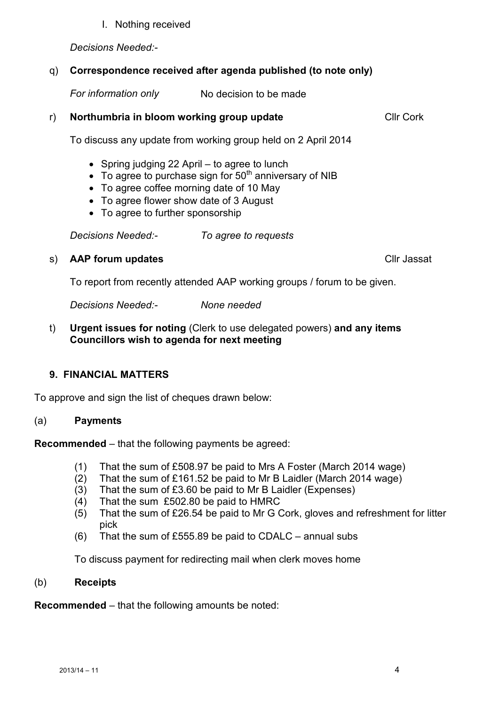## I. Nothing received

*Decisions Needed:-* 

# q) **Correspondence received after agenda published (to note only)**

*For information only* No decision to be made

# r) **Northumbria in bloom working group update** Cllr Cork

To discuss any update from working group held on 2 April 2014

- Spring judging 22 April to agree to lunch
- To agree to purchase sign for  $50<sup>th</sup>$  anniversary of NIB
- To agree coffee morning date of 10 May
- To agree flower show date of 3 August
- To agree to further sponsorship

 *Decisions Needed:- To agree to requests* 

# s) **AAP forum updates Cllr** Jassat

To report from recently attended AAP working groups / forum to be given.

*Decisions Needed:- None needed* 

t) **Urgent issues for noting** (Clerk to use delegated powers) **and any items Councillors wish to agenda for next meeting** 

# **9. FINANCIAL MATTERS**

To approve and sign the list of cheques drawn below:

# (a) **Payments**

**Recommended** – that the following payments be agreed:

- (1) That the sum of £508.97 be paid to Mrs A Foster (March 2014 wage)
- (2) That the sum of £161.52 be paid to Mr B Laidler (March 2014 wage)
- (3) That the sum of £3.60 be paid to Mr B Laidler (Expenses)
- (4) That the sum £502.80 be paid to HMRC
- (5) That the sum of £26.54 be paid to Mr G Cork, gloves and refreshment for litter pick
- (6) That the sum of £555.89 be paid to CDALC annual subs

To discuss payment for redirecting mail when clerk moves home

# (b) **Receipts**

**Recommended** – that the following amounts be noted: